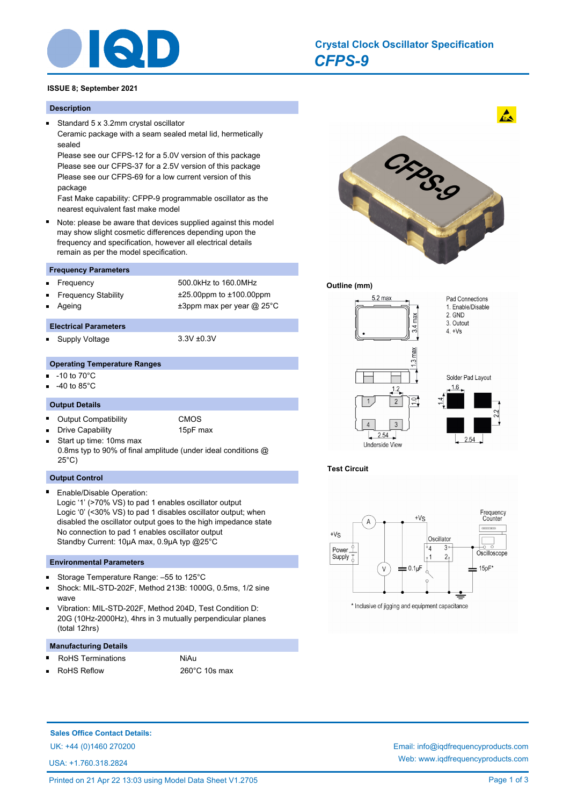

# *CFPS-9* **Crystal Clock Oscillator Specification**

# **ISSUE 8; September 2021**

# **Description**

 $\blacksquare$ 

Standard 5 x 3.2mm crystal oscillator Ceramic package with a seam sealed metal lid, hermetically sealed

Please see our CFPS-12 for a 5.0V version of this package Please see our CFPS-37 for a 2.5V version of this package Please see our CFPS-69 for a low current version of this package

Fast Make capability: CFPP-9 programmable oscillator as the nearest equivalent fast make model

Note: please be aware that devices supplied against this model may show slight cosmetic differences depending upon the frequency and specification, however all electrical details remain as per the model specification.

# **Frequency Parameters**

- Frequency 500.0kHz to 160.0MHz
- Frequency Stability ±25.00ppm to ±100.00ppm
- Ageing  $\qquad \qquad \pm 3$ ppm max per year @ 25°C

# **Electrical Parameters**

Supply Voltage 3.3V ±0.3V П

# **Operating Temperature Ranges**

- -10 to 70°C
- -40 to 85°C

n.

## **Output Details**

- П Output Compatibility CMOS
	- Drive Capability 15pF max
- Start up time: 10ms max 0.8ms typ to 90% of final amplitude (under ideal conditions @ 25°C)

#### **Output Control**

Enable/Disable Operation: Logic '1' (>70% VS) to pad 1 enables oscillator output Logic '0' (<30% VS) to pad 1 disables oscillator output; when disabled the oscillator output goes to the high impedance state No connection to pad 1 enables oscillator output Standby Current: 10µA max, 0.9µA typ @25°C

#### **Environmental Parameters**

- Storage Temperature Range: –55 to 125°C  $\blacksquare$
- $\blacksquare$ Shock: MIL-STD-202F, Method 213B: 1000G, 0.5ms, 1/2 sine wave
- Vibration: MIL-STD-202F, Method 204D, Test Condition D: 20G (10Hz-2000Hz), 4hrs in 3 mutually perpendicular planes (total 12hrs)

#### **Manufacturing Details**

- RoHS Terminations NiAu
- RoHS Reflow 260°C 10s max Ē



#### **Outline (mm)**



**Test Circuit**



\* Inclusive of jigging and equipment capacitance

**Sales Office Contact Details:**

UK: +44 (0)1460 270200 Email: info@iqdfrequencyproducts.com

USA: +1.760.318.2824

Web: www.iqdfrequencyproducts.com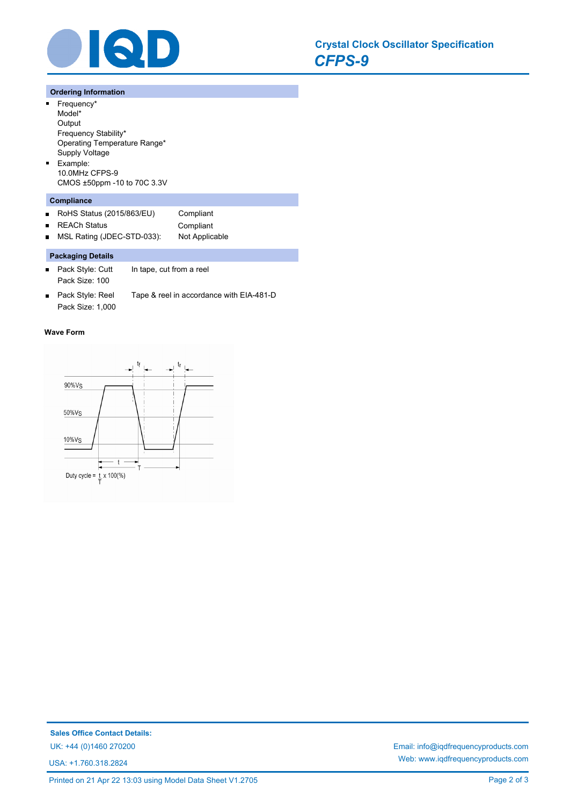

## **Ordering Information**

- $\blacksquare$ Frequency\* Model\* **Output** Frequency Stability\* Operating Temperature Range\* Supply Voltage Example:  $\blacksquare$ 10.0MHz CFPS-9
- CMOS ±50ppm -10 to 70C 3.3V **Compliance**
- RoHS Status (2015/863/EU) Compliant  $\blacksquare$ REACh Status **Compliant**  $\blacksquare$ MSL Rating (JDEC-STD-033): Not Applicable  $\blacksquare$

## **Packaging Details**

- Pack Style: Cutt In tape, cut from a reel  $\blacksquare$ Pack Size: 100
- Pack Style: Reel Tape & reel in accordance with EIA-481-D Pack Size: 1,000

#### **Wave Form**



USA: +1.760.318.2824

UK: +44 (0)1460 270200 Email: info@iqdfrequencyproducts.com Web: www.iqdfrequencyproducts.com